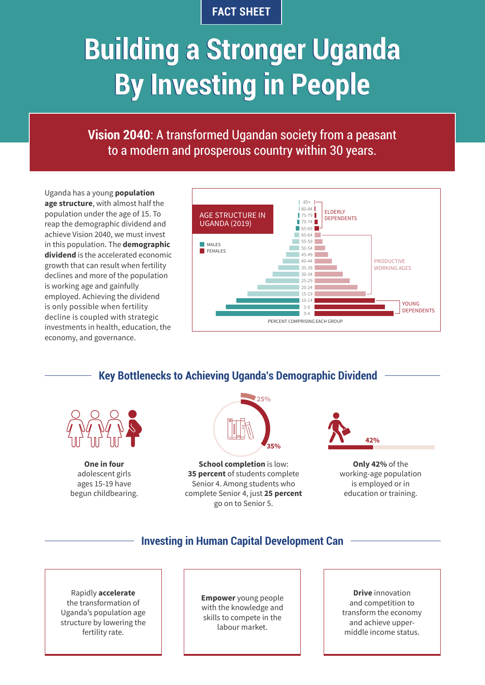## **FACT SHEET**

# **Building a Stronger Uganda Building a Stronger Uganda By Investing in People By Investing in People**

**Vision 2040**: A transformed Ugandan society from a peasant to a modern and prosperous country within 30 years.

Uganda has a young **population age structure**, with almost half the population under the age of 15. To reap the demographic dividend and achieve Vision 2040, we must invest in this population. The **demographic dividend** is the accelerated economic growth that can result when fertility declines and more of the population is working age and gainfully employed. Achieving the dividend is only possible when fertility decline is coupled with strategic investments in health, education, the economy, and governance.



# **Key Bottlenecks to Achieving Uganda's Demographic Dividend**



**One in four** adolescent girls ages 15-19 have begun childbearing.



**School completion** is low: **35 percent** of students complete Senior 4. Among students who complete Senior 4, just **25 percent**  go on to Senior 5.



**Only 42%** of the working-age population is employed or in education or training.

## **Investing in Human Capital Development Can**

Rapidly **accelerate** the transformation of Uganda's population age structure by lowering the fertility rate.

**Empower** young people with the knowledge and skills to compete in the labour market.

**Drive** innovation and competition to transform the economy and achieve uppermiddle income status.